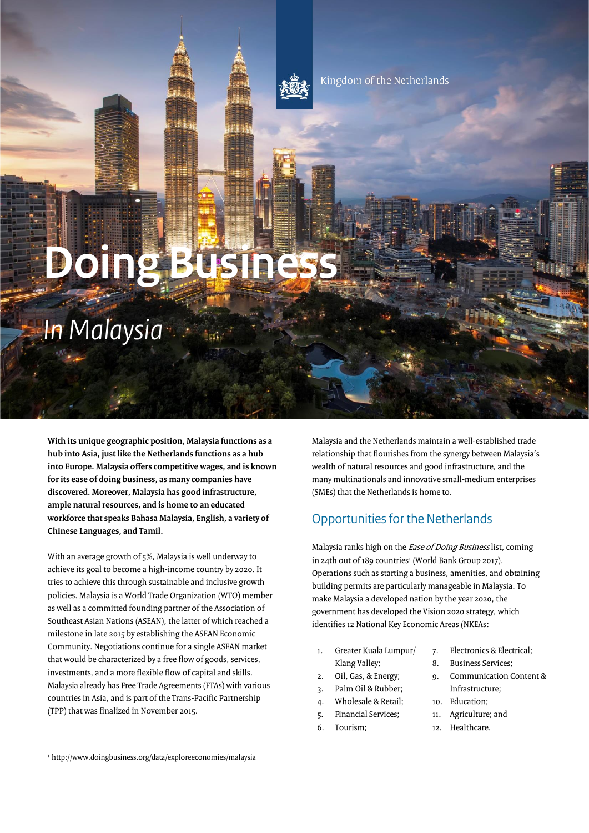

Kingdom of the Netherlands

**Doing Busine** 

# *In Malaysia*

 **With its unique geographic position, Malaysia functions as a hub into Asia, just like the Netherlands functions as a hub into Europe. Malaysia offers competitive wages, and is known for its ease of doing business, as many companies have discovered. Moreover, Malaysia has good infrastructure, ample natural resources, and is home to an educated workforce that speaks Bahasa Malaysia, English, a variety of Chinese Languages, and Tamil.** 

With an average growth of 5%, Malaysia is well underway to achieve its goal to become a high-income country by 2020. It tries to achieve this through sustainable and inclusive growth policies. Malaysia is a World Trade Organization (WTO) member as well as a committed founding partner of the Association of Southeast Asian Nations (ASEAN), the latter of which reached a milestone in late 2015 by establishing the ASEAN Economic Community. Negotiations continue for a single ASEAN market that would be characterized by a free flow of goods, services, investments, and a more flexible flow of capital and skills. Malaysia already has Free Trade Agreements (FTAs) with various countries in Asia, and is part of the Trans-Pacific Partnership (TPP) that was finalized in November 2015.

 $\ddot{\phantom{0}}$ Malaysia and the Netherlands maintain a well-established trade relationship that flourishes from the synergy between Malaysia's wealth of natural resources and good infrastructure, and the many multinationals and innovative small-medium enterprises (SMEs) that the Netherlands is home to.

# Opportunities for the Netherlands

Malaysia ranks high on the *Ease of Doing Business* list, coming in 24th out of 189 countries<sup>1</sup> (World Bank Group 2017). Operations such as starting a business, amenities, and obtaining building permits are particularly manageable in Malaysia. To make Malaysia a developed nation by the year 2020, the government has developed the Vision 2020 strategy, which identifies 12 National Key Economic Areas (NKEAs:

- 1. Greater Kuala Lumpur/ 7. Electronics & Electrical; Klang Valley; 8. Business Services;
- 
- 3. Palm Oil & Rubber; Infrastructure;
- 4. Wholesale & Retail; 10. Education;
- 5. Financial Services; 11. Agriculture; and
- 
- 
- 
- 2. Oil, Gas, & Energy; 9. Communication Content &
	-
	-
- 6. Tourism; 12. Healthcare.

ֺ

<sup>1</sup> http://www.doingbusiness.org/data/exploreeconomies/malaysia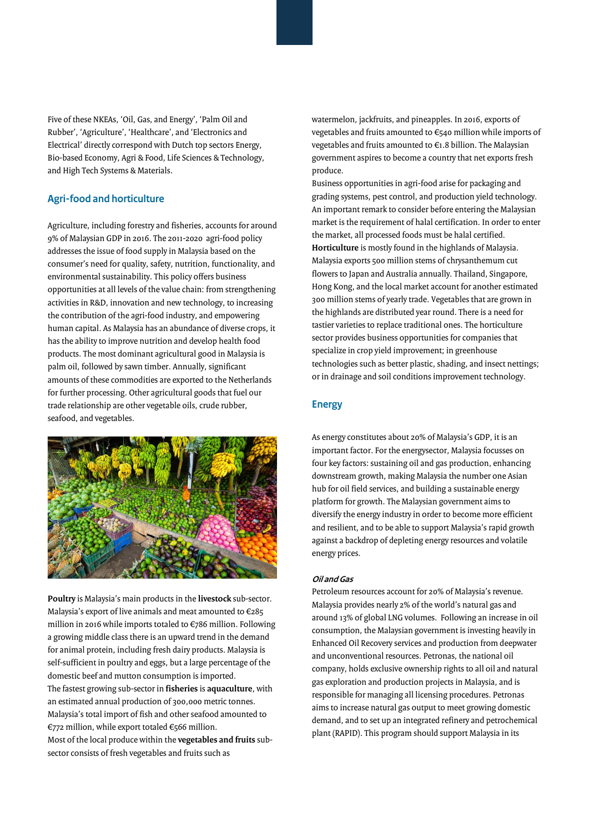$\overline{a}$ Five of these NKEAs, 'Oil, Gas, and Energy', 'Palm Oil and Rubber', 'Agriculture', 'Healthcare', and 'Electronics and Electrical' directly correspond with Dutch top sectors Energy, Bio-based Economy, Agri & Food, Life Sciences & Technology, and High Tech Systems & Materials.

## **Agri-food and horticulture**

I  $\overline{a}$ Agriculture, including forestry and fisheries, accounts for around 9% of Malaysian GDP in 2016. The 2011-2020 agri-food policy addresses the issue of food supply in Malaysia based on the consumer's need for quality, safety, nutrition, functionality, and environmental sustainability. This policy offers business opportunities at all levels of the value chain: from strengthening activities in R&D, innovation and new technology, to increasing the contribution of the agri-food industry, and empowering human capital. As Malaysia has an abundance of diverse crops, it has the ability to improve nutrition and develop health food products. The most dominant agricultural good in Malaysia is palm oil, followed by sawn timber. Annually, significant amounts of these commodities are exported to the Netherlands for further processing. Other agricultural goods that fuel our trade relationship are other vegetable oils, crude rubber, seafood, and vegetables.



 $\overline{a}$ **Poultry** is Malaysia's main products in the **livestock** sub-sector. Malaysia's export of live animals and meat amounted to €285 million in 2016 while imports totaled to €786 million. Following a growing middle class there is an upward trend in the demand for animal protein, including fresh dairy products. Malaysia is self-sufficient in poultry and eggs, but a large percentage of the domestic beef and mutton consumption is imported. The fastest growing sub-sector in **fisheries** is **aquaculture**, with an estimated annual production of 300,000 metric tonnes. Malaysia's total import of fish and other seafood amounted to €772 million, while export totaled €566 million. Most of the local produce within the **vegetables and fruits** subsector consists of fresh vegetables and fruits such as

watermelon, jackfruits, and pineapples. In 2016, exports of vegetables and fruits amounted to €540 million while imports of vegetables and fruits amounted to €1.8 billion. The Malaysian government aspires to become a country that net exports fresh produce.

 $\ddot{\phantom{0}}$  $\ddot{\phantom{a}}$  $\ddot{\phantom{0}}$  $\ddot{\phantom{0}}$  $\ddot{\phantom{0}}$ Business opportunities in agri-food arise for packaging and grading systems, pest control, and production yield technology. An important remark to consider before entering the Malaysian market is the requirement of halal certification. In order to enter the market, all processed foods must be halal certified. **Horticulture** is mostly found in the highlands of Malaysia. Malaysia exports 500 million stems of chrysanthemum cut flowers to Japan and Australia annually. Thailand, Singapore, Hong Kong, and the local market account for another estimated 300 million stems of yearly trade. Vegetables that are grown in the highlands are distributed year round. There is a need for tastier varieties to replace traditional ones. The horticulture sector provides business opportunities for companies that specialize in crop yield improvement; in greenhouse technologies such as better plastic, shading, and insect nettings; or in drainage and soil conditions improvement technology.

## **Energy**

 $\ddot{\phantom{a}}$ As energy constitutes about 20% of Malaysia's GDP, it is an important factor. For the energysector, Malaysia focusses on four key factors: sustaining oil and gas production, enhancing downstream growth, making Malaysia the number one Asian hub for oil field services, and building a sustainable energy platform for growth. The Malaysian government aims to diversify the energy industry in order to become more efficient and resilient, and to be able to support Malaysia's rapid growth against a backdrop of depleting energy resources and volatile energy prices.

## **Oil and Gas**

 $\ddot{\phantom{0}}$  $\ddot{\phantom{a}}$  $\ddot{\phantom{0}}$ Petroleum resources account for 20% of Malaysia's revenue. Malaysia provides nearly 2% of the world's natural gas and around 13% of global LNG volumes. Following an increase in oil consumption, the Malaysian government is investing heavily in Enhanced Oil Recovery services and production from deepwater and unconventional resources. Petronas, the national oil company, holds exclusive ownership rights to all oil and natural gas exploration and production projects in Malaysia, and is responsible for managing all licensing procedures. Petronas aims to increase natural gas output to meet growing domestic demand, and to set up an integrated refinery and petrochemical plant (RAPID). This program should support Malaysia in its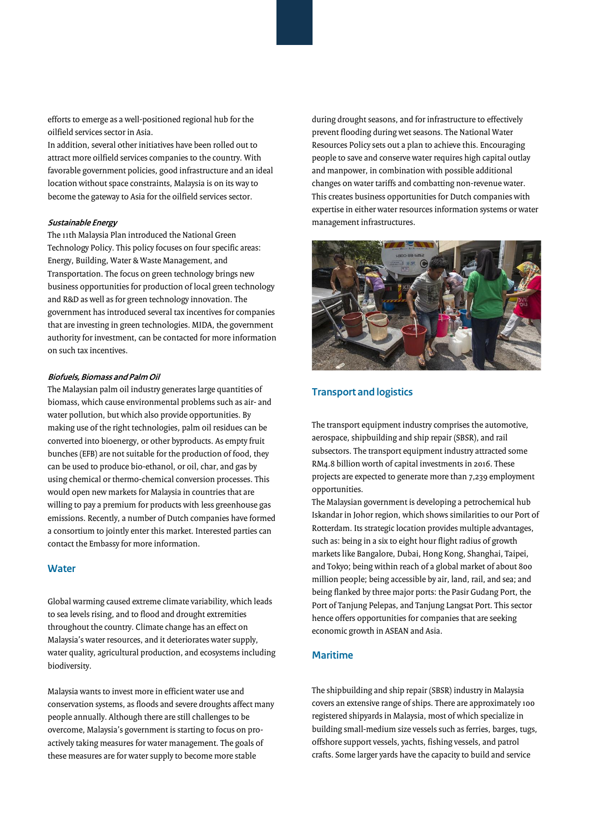efforts to emerge as a well-positioned regional hub for the oilfield services sector in Asia.

In addition, several other initiatives have been rolled out to attract more oilfield services companies to the country. With favorable government policies, good infrastructure and an ideal location without space constraints, Malaysia is on its way to become the gateway to Asia for the oilfield services sector.

#### **Sustainable Energy**

The 11th Malaysia Plan introduced the National Green Technology Policy. This policy focuses on four specific areas: Energy, Building, Water & Waste Management, and Transportation. The focus on green technology brings new business opportunities for production of local green technology and R&D as well as for green technology innovation. The government has introduced several tax incentives for companies that are investing in green technologies. MIDA, the government authority for investment, can be contacted for more information on such tax incentives.

#### **Biofuels, Biomass and Palm Oil**

 $\overline{a}$ ĺ  $\overline{a}$ The Malaysian palm oil industry generates large quantities of biomass, which cause environmental problems such as air- and water pollution, but which also provide opportunities. By making use of the right technologies, palm oil residues can be converted into bioenergy, or other byproducts. As empty fruit bunches (EFB) are not suitable for the production of food, they can be used to produce bio-ethanol, or oil, char, and gas by using chemical or thermo-chemical conversion processes. This would open new markets for Malaysia in countries that are willing to pay a premium for products with less greenhouse gas emissions. Recently, a number of Dutch companies have formed a consortium to jointly enter this market. Interested parties can contact the Embassy for more information.

## **Water**

Global warming caused extreme climate variability, which leads to sea levels rising, and to flood and drought extremities throughout the country. Climate change has an effect on Malaysia's water resources, and it deteriorates water supply, water quality, agricultural production, and ecosystems including biodiversity.

Malaysia wants to invest more in efficient water use and conservation systems, as floods and severe droughts affect many people annually. Although there are still challenges to be overcome, Malaysia's government is starting to focus on proactively taking measures for water management. The goals of these measures are for water supply to become more stable

.<br>.  $\ddot{\phantom{0}}$ during drought seasons, and for infrastructure to effectively prevent flooding during wet seasons. The National Water Resources Policy sets out a plan to achieve this. Encouraging people to save and conserve water requires high capital outlay and manpower, in combination with possible additional changes on water tariffs and combatting non-revenue water. This creates business opportunities for Dutch companies with expertise in either water resources information systems or water management infrastructures.



## **Transport and logistics**

 $\overline{a}$  $\ddot{\phantom{0}}$ The transport equipment industry comprises the automotive, aerospace, shipbuilding and ship repair (SBSR), and rail subsectors. The transport equipment industry attracted some RM4.8 billion worth of capital investments in 2016. These projects are expected to generate more than 7,239 employment opportunities.

 $\overline{a}$  $\overline{a}$  $\ddot{\phantom{0}}$ .<br>.  $\ddot{\phantom{0}}$ The Malaysian government is developing a petrochemical hub Iskandar in Johor region, which shows similarities to our Port of Rotterdam. Its strategic location provides multiple advantages, such as: being in a six to eight hour flight radius of growth markets like Bangalore, Dubai, Hong Kong, Shanghai, Taipei, and Tokyo; being within reach of a global market of about 800 million people; being accessible by air, land, rail, and sea; and being flanked by three major ports: the Pasir Gudang Port, the Port of Tanjung Pelepas, and Tanjung Langsat Port. This sector hence offers opportunities for companies that are seeking economic growth in ASEAN and Asia.

## **Maritime**

.<br>.  $\ddot{\phantom{0}}$ The shipbuilding and ship repair (SBSR) industry in Malaysia covers an extensive range of ships. There are approximately 100 registered shipyards in Malaysia, most of which specialize in building small-medium size vessels such as ferries, barges, tugs, offshore support vessels, yachts, fishing vessels, and patrol crafts. Some larger yards have the capacity to build and service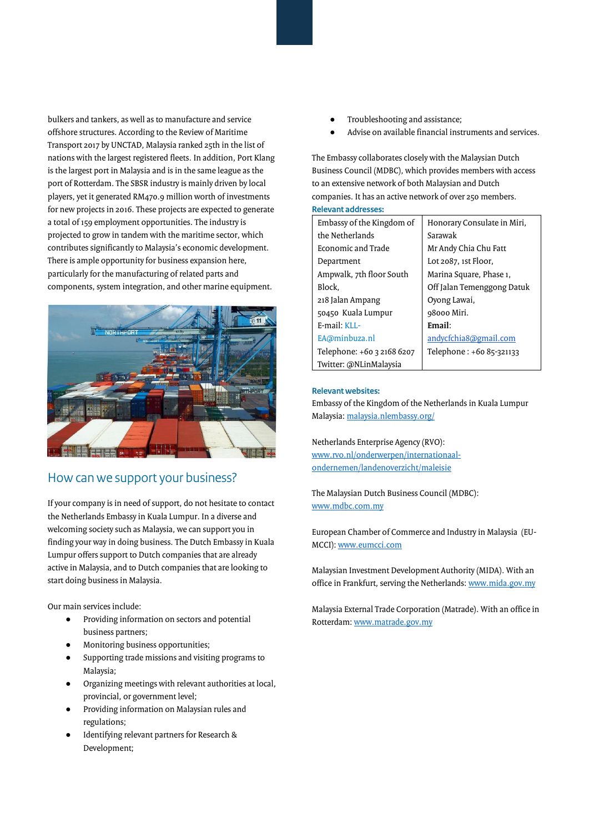$\overline{a}$  $\ddot{\phantom{0}}$ bulkers and tankers, as well as to manufacture and service offshore structures. According to the Review of Maritime Transport 2017 by UNCTAD, Malaysia ranked 25th in the list of nations with the largest registered fleets. In addition, Port Klang is the largest port in Malaysia and is in the same league as the port of Rotterdam. The SBSR industry is mainly driven by local players, yet it generated RM470.9 million worth of investments for new projects in 2016. These projects are expected to generate a total of 159 employment opportunities. The industry is projected to grow in tandem with the maritime sector, which contributes significantly to Malaysia's economic development. There is ample opportunity for business expansion here, particularly for the manufacturing of related parts and components, system integration, and other marine equipment.



## How can we support your business?

 $\ddot{\phantom{a}}$ l, If your company is in need of support, do not hesitate to contact the Netherlands Embassy in Kuala Lumpur. In a diverse and welcoming society such as Malaysia, we can support you in finding your way in doing business. The Dutch Embassy in Kuala Lumpur offers support to Dutch companies that are already active in Malaysia, and to Dutch companies that are looking to start doing business in Malaysia.

Our main services include:

- Providing information on sectors and potential business partners;
- .<br>. Monitoring business opportunities;
- Supporting trade missions and visiting programs to Malaysia;
- Organizing meetings with relevant authorities at local, provincial, or government level;
- Providing information on Malaysian rules and regulations;
- Identifying relevant partners for Research & Development;
- .<br>. Troubleshooting and assistance;
- Advise on available financial instruments and services.

 $\ddot{\phantom{0}}$ The Embassy collaborates closely with the Malaysian Dutch Business Council (MDBC), which provides members with access to an extensive network of both Malaysian and Dutch companies. It has an active network of over 250 members.

**Relevant addresses:** 

| Embassy of the Kingdom of  | Honorary Consulate in Miri, |
|----------------------------|-----------------------------|
| the Netherlands            | Sarawak                     |
| <b>Economic and Trade</b>  | Mr Andy Chia Chu Fatt       |
| Department                 | Lot 2087, 1st Floor,        |
| Ampwalk, 7th floor South   | Marina Square, Phase 1,     |
| Block.                     | Off Jalan Temenggong Datuk  |
| 218 Jalan Ampang           | Oyong Lawai,                |
| 50450 Kuala Lumpur         | 98000 Miri.                 |
| $F$ -mail: $KLL$           | Email:                      |
| EA@minbuza.nl              | andycfchia8@gmail.com       |
| Telephone: +60 3 2168 6207 | Telephone: +60 85-321133    |
| Twitter: @NLinMalaysia     |                             |

#### **Relevant websites:**

Embassy of the Kingdom of the Netherlands in Kuala Lumpur Malaysia[: malaysia.nlembassy.org/](http://malaysia.nlembassy.org/) 

Netherlands Enterprise Agency (RVO): [www.rvo.nl/onderwerpen/internationaal](http://www.rvo.nl/onderwerpen/internationaal-ondernemen/landenoverzicht/maleisie)[ondernemen/landenoverzicht/maleisie](http://www.rvo.nl/onderwerpen/internationaal-ondernemen/landenoverzicht/maleisie) 

The Malaysian Dutch Business Council (MDBC): [www.mdbc.com.my](http://www.mdbc.com.my/) 

European Chamber of Commerce and Industry in Malaysia (EU-MCCI)[: www.eumcci.com](http://www.eumcci.com/) 

Malaysian Investment Development Authority (MIDA). With an office in Frankfurt, serving the Netherlands[: www.mida.gov.my](http://www.mida.gov.my/) 

Malaysia External Trade Corporation (Matrade). With an office in Rotterdam[: www.matrade.gov.my](http://www.matrade.gov.my/)